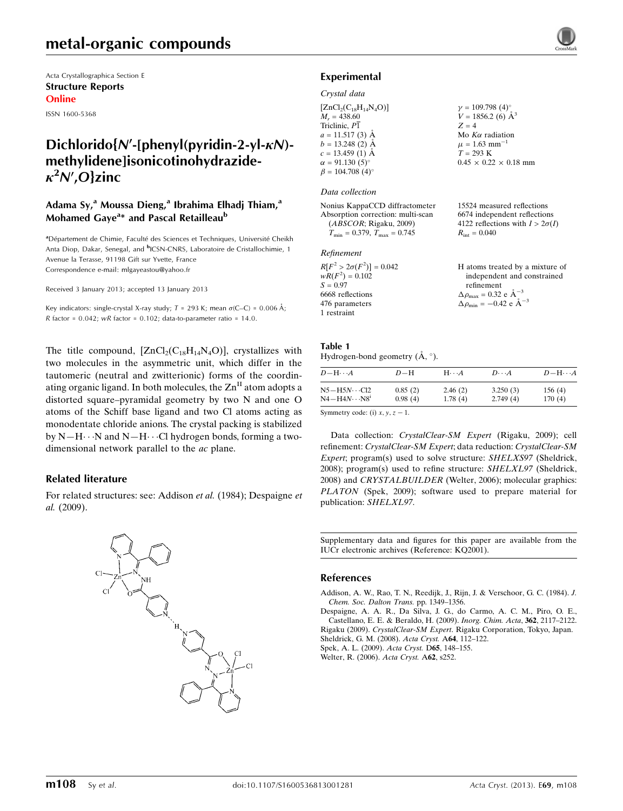# metal-organic compounds

Acta Crystallographica Section E Structure Reports Online

ISSN 1600-5368

# Dichlorido{N'-[phenyl(pyridin-2-yl- $\kappa$ N)methylidene]isonicotinohydrazide- $\kappa^2$ N',O}zinc

### Adama Sy,<sup>a</sup> Moussa Dieng,<sup>a</sup> Ibrahima Elhadj Thiam,<sup>a</sup> Mohamed Gaye<sup>a</sup>\* and Pascal Retailleau<sup>b</sup>

<sup>a</sup> Département de Chimie, Faculté des Sciences et Techniques, Université Cheikh Anta Diop, Dakar, Senegal, and <sup>b</sup>ICSN-CNRS, Laboratoire de Cristallochimie, 1 Avenue la Terasse, 91198 Gift sur Yvette, France Correspondence e-mail: [mlgayeastou@yahoo.fr](https://scripts.iucr.org/cgi-bin/cr.cgi?rm=pdfbb&cnor=kq2001&bbid=BB6)

Received 3 January 2013; accepted 13 January 2013

Key indicators: single-crystal X-ray study;  $T$  = 293 K; mean  $\sigma$ (C–C) = 0.006 Å; R factor =  $0.042$ ; wR factor =  $0.102$ ; data-to-parameter ratio = 14.0.

The title compound,  $[ZnCl_2(C_{18}H_{14}N_4O)]$ , crystallizes with two molecules in the asymmetric unit, which differ in the tautomeric (neutral and zwitterionic) forms of the coordinating organic ligand. In both molecules, the  $\text{Zn}^{\text{II}}$  atom adopts a distorted square–pyramidal geometry by two N and one O atoms of the Schiff base ligand and two Cl atoms acting as monodentate chloride anions. The crystal packing is stabilized by N-H $\cdots$ N and N-H $\cdots$ Cl hydrogen bonds, forming a twodimensional network parallel to the ac plane.

### Related literature

For related structures: see: Addison et al. (1984); Despaigne et al. (2009).



## Experimental

### Crystal data

| $[ZnCl_2(C_{18}H_{14}N_4O)]$       | $\gamma=109.798~(4)^\circ$     |
|------------------------------------|--------------------------------|
| $M_r = 438.60$                     | $V = 1856.2$ (6) $\AA^3$       |
| Triclinic, P1                      | $Z = 4$                        |
| $a = 11.517(3)$ Å                  | Mo $K\alpha$ radiation         |
| $b = 13.248(2)$ Å                  | $\mu = 1.63$ mm <sup>-1</sup>  |
| $c = 13.459$ (1) Å                 | $T = 293 \text{ K}$            |
| $\alpha = 91.130(5)$ °             | $0.45 \times 0.22 \times 0.18$ |
| $\beta = 104.708$ (4) <sup>o</sup> |                                |

mm

15524 measured reflections 6674 independent reflections 4122 reflections with  $I > 2\sigma(I)$ 

 $R_{\text{int}} = 0.040$ 

#### Data collection

Nonius KappaCCD diffractometer Absorption correction: multi-scan (ABSCOR; Rigaku, 2009)  $T_{\text{min}} = 0.379$ ,  $T_{\text{max}} = 0.745$ 

### Refinement

| $R[F^2 > 2\sigma(F^2)] = 0.042$ | H atoms treated by a mixture of                      |
|---------------------------------|------------------------------------------------------|
| $wR(F^2) = 0.102$               | independent and constrained                          |
| $S = 0.97$                      | refinement                                           |
| 6668 reflections                | $\Delta \rho_{\text{max}} = 0.32 \text{ e A}^{-3}$   |
| 476 parameters                  | $\Delta \rho_{\text{min}} = -0.42$ e $\rm{\AA}^{-3}$ |
| 1 restraint                     |                                                      |

#### Table 1 Hydrogen-bond geometry  $(\mathring{A}, \degree)$ .

| $D - H \cdots A$         | $D-H$   | $H \cdot \cdot \cdot A$ | $D\cdots A$ | $D - H \cdots A$ |
|--------------------------|---------|-------------------------|-------------|------------------|
| $N5 - H5N \cdots Cl2$    | 0.85(2) | 2.46(2)                 | 3.250(3)    | 156(4)           |
| $N4 - H4N \cdots N8^{i}$ | 0.98(4) | 1.78(4)                 | 2.749(4)    | 170(4)           |

Symmetry code: (i)  $x, y, z - 1$ .

Data collection: CrystalClear-SM Expert (Rigaku, 2009); cell refinement: CrystalClear-SM Expert; data reduction: CrystalClear-SM Expert; program(s) used to solve structure: SHELXS97 (Sheldrick, 2008); program(s) used to refine structure: SHELXL97 (Sheldrick, 2008) and CRYSTALBUILDER (Welter, 2006); molecular graphics: PLATON (Spek, 2009); software used to prepare material for publication: SHELXL97.

Supplementary data and figures for this paper are available from the IUCr electronic archives (Reference: KQ2001).

### References

[Addison, A. W., Rao, T. N., Reedijk, J., Rijn, J. & Verschoor, G. C. \(1984\).](https://scripts.iucr.org/cgi-bin/cr.cgi?rm=pdfbb&cnor=kq2001&bbid=BB1) J. [Chem. Soc. Dalton Trans.](https://scripts.iucr.org/cgi-bin/cr.cgi?rm=pdfbb&cnor=kq2001&bbid=BB1) pp. 1349–1356.

[Despaigne, A. A. R., Da Silva, J. G., do Carmo, A. C. M., Piro, O. E.,](https://scripts.iucr.org/cgi-bin/cr.cgi?rm=pdfbb&cnor=kq2001&bbid=BB2) [Castellano, E. E. & Beraldo, H. \(2009\).](https://scripts.iucr.org/cgi-bin/cr.cgi?rm=pdfbb&cnor=kq2001&bbid=BB2) Inorg. Chim. Acta, 362, 2117–2122. Rigaku (2009). CrystalClear-SM Expert[. Rigaku Corporation, Tokyo, Japan.](https://scripts.iucr.org/cgi-bin/cr.cgi?rm=pdfbb&cnor=kq2001&bbid=BB3) [Sheldrick, G. M. \(2008\).](https://scripts.iucr.org/cgi-bin/cr.cgi?rm=pdfbb&cnor=kq2001&bbid=BB4) Acta Cryst. A64, 112–122. [Spek, A. L. \(2009\).](https://scripts.iucr.org/cgi-bin/cr.cgi?rm=pdfbb&cnor=kq2001&bbid=BB5) Acta Cryst. D65, 148–155.

[Welter, R. \(2006\).](https://scripts.iucr.org/cgi-bin/cr.cgi?rm=pdfbb&cnor=kq2001&bbid=BB6) Acta Cryst. A62, s252.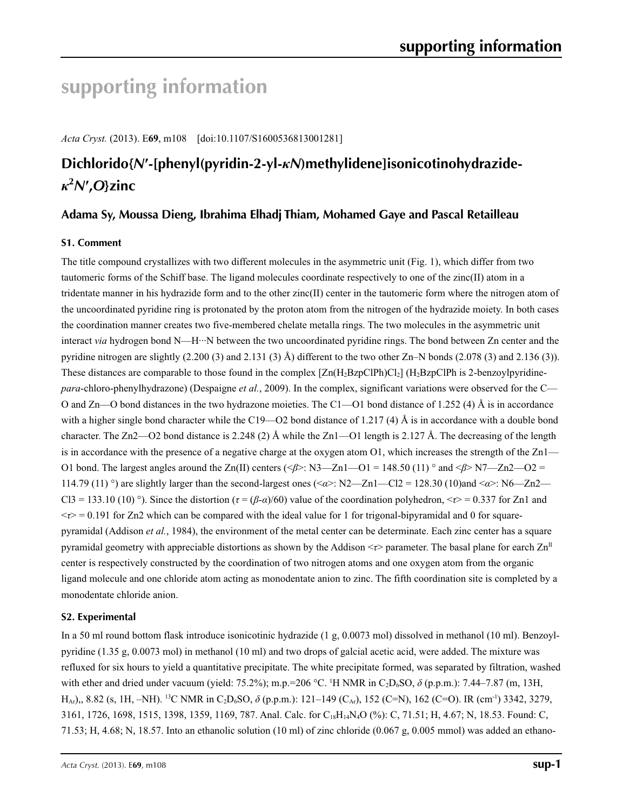# **supporting information**

*Acta Cryst.* (2013). E**69**, m108 [doi:10.1107/S1600536813001281]

# **Dichlorido{***N***′-[phenyl(pyridin-2-yl-***κN***)methylidene]isonicotinohydrazide***κ***2** *N***′ ,***O***}zinc**

## **Adama Sy, Moussa Dieng, Ibrahima Elhadj Thiam, Mohamed Gaye and Pascal Retailleau**

## **S1. Comment**

The title compound crystallizes with two different molecules in the asymmetric unit (Fig. 1), which differ from two tautomeric forms of the Schiff base. The ligand molecules coordinate respectively to one of the zinc(II) atom in a tridentate manner in his hydrazide form and to the other zinc(II) center in the tautomeric form where the nitrogen atom of the uncoordinated pyridine ring is protonated by the proton atom from the nitrogen of the hydrazide moiety. In both cases the coordination manner creates two five-membered chelate metalla rings. The two molecules in the asymmetric unit interact *via* hydrogen bond N—H···N between the two uncoordinated pyridine rings. The bond between Zn center and the pyridine nitrogen are slightly  $(2.200 \text{ (3) and } 2.131 \text{ (3) Å}$  different to the two other Zn–N bonds  $(2.078 \text{ (3) and } 2.136 \text{ (3)}).$ These distances are comparable to those found in the complex  $[Zn(H_2BzpClPh)Cl_2]$  (H<sub>2</sub>BzpClPh is 2-benzoylpyridine*para*-chloro-phenylhydrazone) (Despaigne *et al.*, 2009). In the complex, significant variations were observed for the C— O and Zn—O bond distances in the two hydrazone moieties. The C1—O1 bond distance of 1.252 (4)  $\AA$  is in accordance with a higher single bond character while the C19—O2 bond distance of 1.217 (4) Å is in accordance with a double bond character. The Zn2—O2 bond distance is 2.248 (2) Å while the Zn1—O1 length is 2.127 Å. The decreasing of the length is in accordance with the presence of a negative charge at the oxygen atom O1, which increases the strength of the Zn1— O1 bond. The largest angles around the Zn(II) centers (<*β*>: N3—Zn1—O1 = 148.50 (11) ° and <*β*> N7—Zn2—O2 = 114.79 (11) °) are slightly larger than the second-largest ones (<*α*>: N2—Zn1—Cl2 = 128.30 (10)and <*α*>: N6—Zn2— Cl3 = 133.10 (10) °). Since the distortion ( $\tau = (\beta - \alpha)/60$ ) value of the coordination polyhedron,  $\langle \tau \rangle = 0.337$  for Zn1 and  $\langle \tau \rangle$  = 0.191 for Zn2 which can be compared with the ideal value for 1 for trigonal-bipyramidal and 0 for squarepyramidal (Addison *et al.*, 1984), the environment of the metal center can be determinate. Each zinc center has a square pyramidal geometry with appreciable distortions as shown by the Addison  $\lt\tau$  parameter. The basal plane for earch Zn<sup>II</sup> center is respectively constructed by the coordination of two nitrogen atoms and one oxygen atom from the organic ligand molecule and one chloride atom acting as monodentate anion to zinc. The fifth coordination site is completed by a monodentate chloride anion.

## **S2. Experimental**

In a 50 ml round bottom flask introduce isonicotinic hydrazide (1 g, 0.0073 mol) dissolved in methanol (10 ml). Benzoylpyridine (1.35 g, 0.0073 mol) in methanol (10 ml) and two drops of galcial acetic acid, were added. The mixture was refluxed for six hours to yield a quantitative precipitate. The white precipitate formed, was separated by filtration, washed with ether and dried under vacuum (yield: 75.2%); m.p.=206 °C. <sup>1</sup>H NMR in C<sub>2</sub>D<sub>6</sub>SO,  $\delta$  (p.p.m.): 7.44–7.87 (m, 13H, H<sub>Ar</sub>),, 8.82 (s, 1H, -NH). <sup>13</sup>C NMR in C<sub>2</sub>D<sub>6</sub>SO, *δ* (p.p.m.): 121–149 (C<sub>Ar</sub>), 152 (C=N), 162 (C=O). IR (cm<sup>-1</sup>) 3342, 3279, 3161, 1726, 1698, 1515, 1398, 1359, 1169, 787. Anal. Calc. for C18H14N4O (%): C, 71.51; H, 4.67; N, 18.53. Found: C, 71.53; H, 4.68; N, 18.57. Into an ethanolic solution (10 ml) of zinc chloride (0.067 g, 0.005 mmol) was added an ethano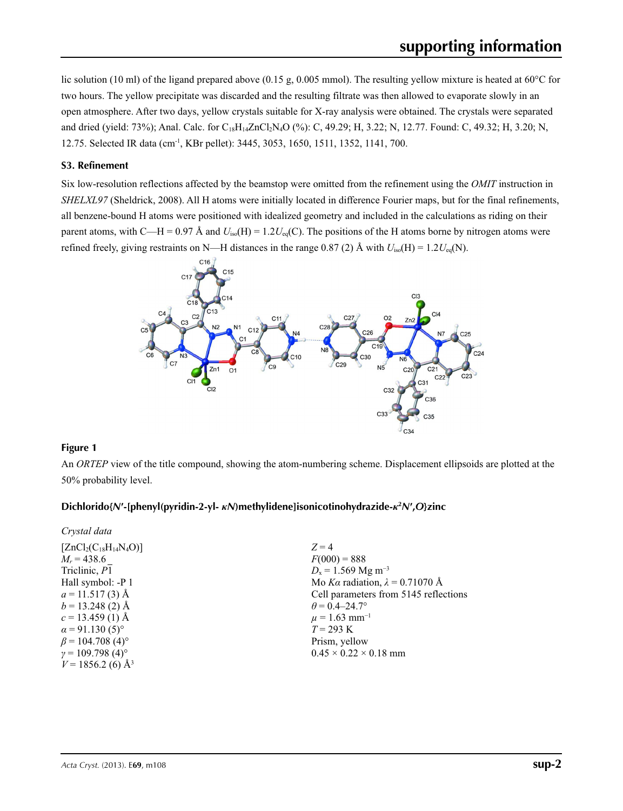lic solution (10 ml) of the ligand prepared above (0.15 g, 0.005 mmol). The resulting yellow mixture is heated at 60°C for two hours. The yellow precipitate was discarded and the resulting filtrate was then allowed to evaporate slowly in an open atmosphere. After two days, yellow crystals suitable for X-ray analysis were obtained. The crystals were separated and dried (yield: 73%); Anal. Calc. for C<sub>18</sub>H<sub>14</sub>ZnCl<sub>2</sub>N<sub>4</sub>O (%): C, 49.29; H, 3.22; N, 12.77. Found: C, 49.32; H, 3.20; N, 12.75. Selected IR data (cm-1, KBr pellet): 3445, 3053, 1650, 1511, 1352, 1141, 700.

### **S3. Refinement**

Six low-resolution reflections affected by the beamstop were omitted from the refinement using the *OMIT* instruction in *SHELXL97* (Sheldrick, 2008). All H atoms were initially located in difference Fourier maps, but for the final refinements, all benzene-bound H atoms were positioned with idealized geometry and included in the calculations as riding on their parent atoms, with C—H = 0.97 Å and  $U_{iso}(H) = 1.2U_{eq}(C)$ . The positions of the H atoms borne by nitrogen atoms were refined freely, giving restraints on N—H distances in the range 0.87 (2) Å with  $U_{\text{iso}}(H) = 1.2U_{\text{eq}}(N)$ .



### **Figure 1**

An *ORTEP* view of the title compound, showing the atom-numbering scheme. Displacement ellipsoids are plotted at the 50% probability level.

## **Dichlorido{***N***′-[phenyl(pyridin-2-yl-** *κN***)methylidene]isonicotinohydrazide-***κ***<sup>2</sup>** *N***′,***O***}zinc**

| Crystal data                       |                                        |
|------------------------------------|----------------------------------------|
| $[ZnCl_2(C_{18}H_{14}N_4O)]$       | $Z=4$                                  |
| $M_r = 438.6$                      | $F(000) = 888$                         |
| Triclinic, P1                      | $D_x = 1.569$ Mg m <sup>-3</sup>       |
| Hall symbol: -P 1                  | Mo Ka radiation, $\lambda = 0.71070$ Å |
| $a = 11.517(3)$ Å                  | Cell parameters from 5145 reflections  |
| $b = 13.248(2)$ Å                  | $\theta = 0.4 - 24.7^{\circ}$          |
| $c = 13.459$ (1) Å                 | $\mu$ = 1.63 mm <sup>-1</sup>          |
| $\alpha$ = 91.130 (5) <sup>o</sup> | $T = 293 \text{ K}$                    |
| $\beta$ = 104.708 (4) <sup>o</sup> | Prism, yellow                          |
| $\gamma = 109.798(4)$ °            | $0.45 \times 0.22 \times 0.18$ mm      |
| $V = 1856.2$ (6) Å <sup>3</sup>    |                                        |
|                                    |                                        |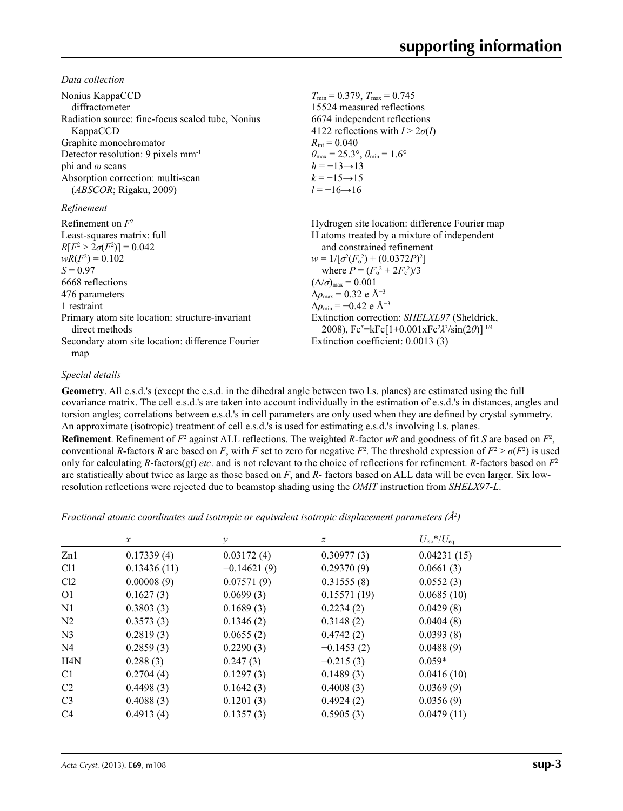*Data collection*

| Nonius KappaCCD                                                   | $T_{\text{min}} = 0.379$ , $T_{\text{max}} = 0.745$                                                           |
|-------------------------------------------------------------------|---------------------------------------------------------------------------------------------------------------|
| diffractometer                                                    | 15524 measured reflections                                                                                    |
| Radiation source: fine-focus sealed tube, Nonius                  | 6674 independent reflections                                                                                  |
| KappaCCD                                                          | 4122 reflections with $I > 2\sigma(I)$                                                                        |
| Graphite monochromator                                            | $R_{\rm int} = 0.040$                                                                                         |
| Detector resolution: 9 pixels mm <sup>-1</sup>                    | $\theta_{\text{max}} = 25.3^{\circ}, \theta_{\text{min}} = 1.6^{\circ}$                                       |
| phi and $\omega$ scans                                            | $h = -13 \rightarrow 13$                                                                                      |
| Absorption correction: multi-scan                                 | $k = -15 \rightarrow 15$                                                                                      |
| (ABSCOR; Rigaku, 2009)                                            | $l = -16 \rightarrow 16$                                                                                      |
| Refinement                                                        |                                                                                                               |
| Refinement on $F^2$                                               | Hydrogen site location: difference Fourier map                                                                |
| Least-squares matrix: full                                        | H atoms treated by a mixture of independent                                                                   |
| $R[F^2 > 2\sigma(F^2)] = 0.042$                                   | and constrained refinement                                                                                    |
| $wR(F^2) = 0.102$                                                 | $w = 1/[\sigma^2(F_0^2) + (0.0372P)^2]$                                                                       |
| $S = 0.97$                                                        | where $P = (F_o^2 + 2F_c^2)/3$                                                                                |
| 6668 reflections                                                  | $(\Delta/\sigma)_{\text{max}} = 0.001$                                                                        |
| 476 parameters                                                    | $\Delta \rho_{\rm max} = 0.32$ e Å <sup>-3</sup>                                                              |
| 1 restraint                                                       | $\Delta\rho_{\rm min}$ = -0.42 e Å <sup>-3</sup>                                                              |
| Primary atom site location: structure-invariant<br>direct methods | Extinction correction: SHELXL97 (Sheldrick,<br>2008), $Fc^* = kFc[1+0.001xFc^2\lambda^3/sin(2\theta)]^{-1/4}$ |
| Secondary atom site location: difference Fourier                  | Extinction coefficient: 0.0013 (3)                                                                            |
| map                                                               |                                                                                                               |

### *Special details*

**Geometry**. All e.s.d.'s (except the e.s.d. in the dihedral angle between two l.s. planes) are estimated using the full covariance matrix. The cell e.s.d.'s are taken into account individually in the estimation of e.s.d.'s in distances, angles and torsion angles; correlations between e.s.d.'s in cell parameters are only used when they are defined by crystal symmetry. An approximate (isotropic) treatment of cell e.s.d.'s is used for estimating e.s.d.'s involving l.s. planes.

**Refinement**. Refinement of  $F^2$  against ALL reflections. The weighted *R*-factor  $wR$  and goodness of fit *S* are based on  $F^2$ , conventional *R*-factors *R* are based on *F*, with *F* set to zero for negative  $F^2$ . The threshold expression of  $F^2 > \sigma(F^2)$  is used only for calculating *R*-factors(gt) *etc*. and is not relevant to the choice of reflections for refinement. *R*-factors based on *F*<sup>2</sup> are statistically about twice as large as those based on *F*, and *R*- factors based on ALL data will be even larger. Six lowresolution reflections were rejected due to beamstop shading using the *OMIT* instruction from *SHELX97*-*L*.

*Fractional atomic coordinates and isotropic or equivalent isotropic displacement parameters (Å<sup>2</sup>)* 

|                 | $\boldsymbol{x}$ | у             | $\boldsymbol{Z}$ | $U_{\rm iso}$ */ $U_{\rm eq}$ |  |
|-----------------|------------------|---------------|------------------|-------------------------------|--|
| Zn1             | 0.17339(4)       | 0.03172(4)    | 0.30977(3)       | 0.04231(15)                   |  |
| C <sub>11</sub> | 0.13436(11)      | $-0.14621(9)$ | 0.29370(9)       | 0.0661(3)                     |  |
| Cl2             | 0.00008(9)       | 0.07571(9)    | 0.31555(8)       | 0.0552(3)                     |  |
| O <sub>1</sub>  | 0.1627(3)        | 0.0699(3)     | 0.15571(19)      | 0.0685(10)                    |  |
| N <sub>1</sub>  | 0.3803(3)        | 0.1689(3)     | 0.2234(2)        | 0.0429(8)                     |  |
| N <sub>2</sub>  | 0.3573(3)        | 0.1346(2)     | 0.3148(2)        | 0.0404(8)                     |  |
| N <sub>3</sub>  | 0.2819(3)        | 0.0655(2)     | 0.4742(2)        | 0.0393(8)                     |  |
| N4              | 0.2859(3)        | 0.2290(3)     | $-0.1453(2)$     | 0.0488(9)                     |  |
| H4N             | 0.288(3)         | 0.247(3)      | $-0.215(3)$      | $0.059*$                      |  |
| C1              | 0.2704(4)        | 0.1297(3)     | 0.1489(3)        | 0.0416(10)                    |  |
| C <sub>2</sub>  | 0.4498(3)        | 0.1642(3)     | 0.4008(3)        | 0.0369(9)                     |  |
| C <sub>3</sub>  | 0.4088(3)        | 0.1201(3)     | 0.4924(2)        | 0.0356(9)                     |  |
| C <sub>4</sub>  | 0.4913(4)        | 0.1357(3)     | 0.5905(3)        | 0.0479(11)                    |  |
|                 |                  |               |                  |                               |  |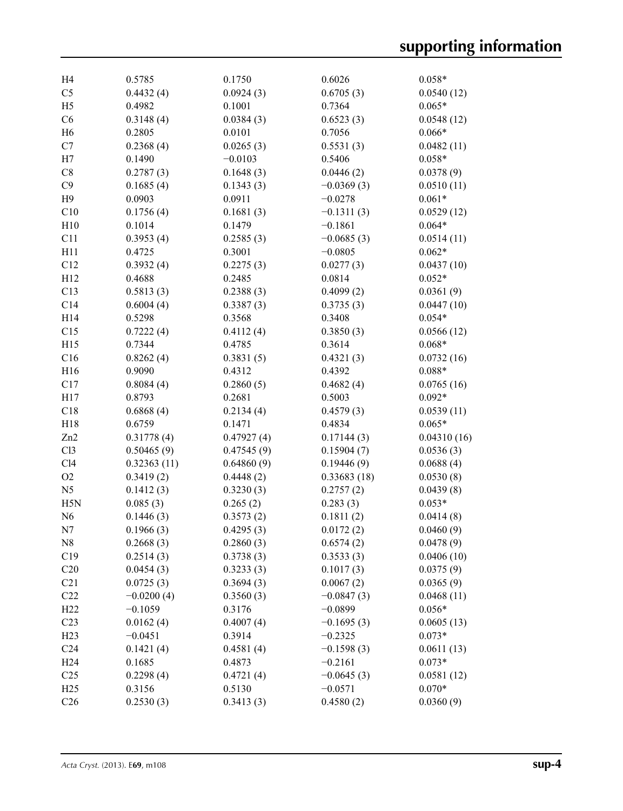| H4              | 0.5785       | 0.1750     | 0.6026       | $0.058*$    |
|-----------------|--------------|------------|--------------|-------------|
| C <sub>5</sub>  | 0.4432(4)    | 0.0924(3)  | 0.6705(3)    | 0.0540(12)  |
| H <sub>5</sub>  | 0.4982       | 0.1001     | 0.7364       | $0.065*$    |
| C6              | 0.3148(4)    | 0.0384(3)  | 0.6523(3)    | 0.0548(12)  |
| H <sub>6</sub>  | 0.2805       | 0.0101     | 0.7056       | $0.066*$    |
| C7              | 0.2368(4)    | 0.0265(3)  | 0.5531(3)    | 0.0482(11)  |
| H7              | 0.1490       | $-0.0103$  | 0.5406       | $0.058*$    |
| C8              | 0.2787(3)    | 0.1648(3)  | 0.0446(2)    | 0.0378(9)   |
| C9              | 0.1685(4)    | 0.1343(3)  | $-0.0369(3)$ | 0.0510(11)  |
| H9              | 0.0903       | 0.0911     | $-0.0278$    | $0.061*$    |
| C10             | 0.1756(4)    | 0.1681(3)  | $-0.1311(3)$ | 0.0529(12)  |
| H10             | 0.1014       | 0.1479     | $-0.1861$    | $0.064*$    |
| C11             | 0.3953(4)    | 0.2585(3)  | $-0.0685(3)$ | 0.0514(11)  |
| H11             | 0.4725       | 0.3001     | $-0.0805$    | $0.062*$    |
| C12             | 0.3932(4)    | 0.2275(3)  | 0.0277(3)    | 0.0437(10)  |
| H12             | 0.4688       | 0.2485     | 0.0814       | $0.052*$    |
| C13             | 0.5813(3)    | 0.2388(3)  | 0.4099(2)    | 0.0361(9)   |
| C14             | 0.6004(4)    | 0.3387(3)  | 0.3735(3)    | 0.0447(10)  |
| H14             | 0.5298       | 0.3568     | 0.3408       | $0.054*$    |
| C15             | 0.7222(4)    | 0.4112(4)  | 0.3850(3)    | 0.0566(12)  |
| H15             | 0.7344       | 0.4785     | 0.3614       | $0.068*$    |
| C16             | 0.8262(4)    | 0.3831(5)  | 0.4321(3)    | 0.0732(16)  |
| H16             | 0.9090       | 0.4312     | 0.4392       | $0.088*$    |
| C17             | 0.8084(4)    | 0.2860(5)  | 0.4682(4)    | 0.0765(16)  |
| H17             | 0.8793       | 0.2681     | 0.5003       | $0.092*$    |
| C18             | 0.6868(4)    | 0.2134(4)  | 0.4579(3)    | 0.0539(11)  |
| H18             | 0.6759       | 0.1471     | 0.4834       | $0.065*$    |
| Zn2             | 0.31778(4)   | 0.47927(4) | 0.17144(3)   | 0.04310(16) |
| Cl3             | 0.50465(9)   | 0.47545(9) | 0.15904(7)   | 0.0536(3)   |
| Cl4             | 0.32363(11)  | 0.64860(9) | 0.19446(9)   | 0.0688(4)   |
| O2              | 0.3419(2)    | 0.4448(2)  | 0.33683(18)  | 0.0530(8)   |
| N <sub>5</sub>  | 0.1412(3)    | 0.3230(3)  | 0.2757(2)    | 0.0439(8)   |
| H5N             | 0.085(3)     | 0.265(2)   | 0.283(3)     | $0.053*$    |
| N <sub>6</sub>  | 0.1446(3)    | 0.3573(2)  | 0.1811(2)    | 0.0414(8)   |
| N7              | 0.1966(3)    | 0.4295(3)  | 0.0172(2)    | 0.0460(9)   |
| N8              | 0.2668(3)    | 0.2860(3)  | 0.6574(2)    | 0.0478(9)   |
| C19             | 0.2514(3)    | 0.3738(3)  | 0.3533(3)    | 0.0406(10)  |
| C20             | 0.0454(3)    | 0.3233(3)  | 0.1017(3)    | 0.0375(9)   |
| C21             | 0.0725(3)    | 0.3694(3)  | 0.0067(2)    | 0.0365(9)   |
| C22             | $-0.0200(4)$ | 0.3560(3)  | $-0.0847(3)$ | 0.0468(11)  |
| H22             | $-0.1059$    | 0.3176     | $-0.0899$    | $0.056*$    |
| C <sub>23</sub> | 0.0162(4)    | 0.4007(4)  | $-0.1695(3)$ | 0.0605(13)  |
| H23             | $-0.0451$    | 0.3914     | $-0.2325$    | $0.073*$    |
| C <sub>24</sub> | 0.1421(4)    | 0.4581(4)  | $-0.1598(3)$ | 0.0611(13)  |
| H <sub>24</sub> | 0.1685       | 0.4873     | $-0.2161$    | $0.073*$    |
| C <sub>25</sub> | 0.2298(4)    | 0.4721(4)  | $-0.0645(3)$ | 0.0581(12)  |
| H <sub>25</sub> | 0.3156       | 0.5130     | $-0.0571$    | $0.070*$    |
| C <sub>26</sub> | 0.2530(3)    | 0.3413(3)  | 0.4580(2)    | 0.0360(9)   |
|                 |              |            |              |             |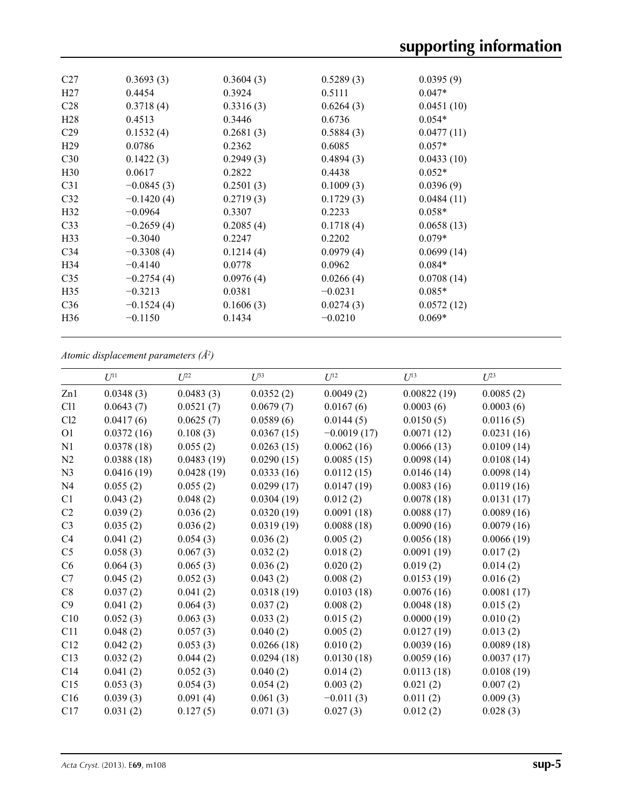| C27              | 0.3693(3)    | 0.3604(3) | 0.5289(3) | 0.0395(9)  |
|------------------|--------------|-----------|-----------|------------|
| H <sub>27</sub>  | 0.4454       | 0.3924    | 0.5111    | $0.047*$   |
| C <sub>28</sub>  | 0.3718(4)    | 0.3316(3) | 0.6264(3) | 0.0451(10) |
| H <sub>28</sub>  | 0.4513       | 0.3446    | 0.6736    | $0.054*$   |
| C <sub>29</sub>  | 0.1532(4)    | 0.2681(3) | 0.5884(3) | 0.0477(11) |
| H <sub>29</sub>  | 0.0786       | 0.2362    | 0.6085    | $0.057*$   |
| C30              | 0.1422(3)    | 0.2949(3) | 0.4894(3) | 0.0433(10) |
| H <sub>30</sub>  | 0.0617       | 0.2822    | 0.4438    | $0.052*$   |
| C <sub>31</sub>  | $-0.0845(3)$ | 0.2501(3) | 0.1009(3) | 0.0396(9)  |
| C <sub>32</sub>  | $-0.1420(4)$ | 0.2719(3) | 0.1729(3) | 0.0484(11) |
| H <sub>32</sub>  | $-0.0964$    | 0.3307    | 0.2233    | $0.058*$   |
| C <sub>33</sub>  | $-0.2659(4)$ | 0.2085(4) | 0.1718(4) | 0.0658(13) |
| H <sub>3</sub> 3 | $-0.3040$    | 0.2247    | 0.2202    | $0.079*$   |
| C <sub>34</sub>  | $-0.3308(4)$ | 0.1214(4) | 0.0979(4) | 0.0699(14) |
| H <sub>34</sub>  | $-0.4140$    | 0.0778    | 0.0962    | $0.084*$   |
| C <sub>35</sub>  | $-0.2754(4)$ | 0.0976(4) | 0.0266(4) | 0.0708(14) |
| H <sub>35</sub>  | $-0.3213$    | 0.0381    | $-0.0231$ | $0.085*$   |
| C <sub>36</sub>  | $-0.1524(4)$ | 0.1606(3) | 0.0274(3) | 0.0572(12) |
| H <sub>36</sub>  | $-0.1150$    | 0.1434    | $-0.0210$ | $0.069*$   |
|                  |              |           |           |            |

*Atomic displacement parameters (Å2 )*

|                | $U^{11}$   | $U^{22}$   | $U^{33}$   | $U^{12}$      | $U^{13}$    | $U^{23}$   |
|----------------|------------|------------|------------|---------------|-------------|------------|
| Zn1            | 0.0348(3)  | 0.0483(3)  | 0.0352(2)  | 0.0049(2)     | 0.00822(19) | 0.0085(2)  |
| C11            | 0.0643(7)  | 0.0521(7)  | 0.0679(7)  | 0.0167(6)     | 0.0003(6)   | 0.0003(6)  |
| Cl2            | 0.0417(6)  | 0.0625(7)  | 0.0589(6)  | 0.0144(5)     | 0.0150(5)   | 0.0116(5)  |
| O <sub>1</sub> | 0.0372(16) | 0.108(3)   | 0.0367(15) | $-0.0019(17)$ | 0.0071(12)  | 0.0231(16) |
| N <sub>1</sub> | 0.0378(18) | 0.055(2)   | 0.0263(15) | 0.0062(16)    | 0.0066(13)  | 0.0109(14) |
| N2             | 0.0388(18) | 0.0483(19) | 0.0290(15) | 0.0085(15)    | 0.0098(14)  | 0.0108(14) |
| N <sub>3</sub> | 0.0416(19) | 0.0428(19) | 0.0333(16) | 0.0112(15)    | 0.0146(14)  | 0.0098(14) |
| N <sub>4</sub> | 0.055(2)   | 0.055(2)   | 0.0299(17) | 0.0147(19)    | 0.0083(16)  | 0.0119(16) |
| C1             | 0.043(2)   | 0.048(2)   | 0.0304(19) | 0.012(2)      | 0.0078(18)  | 0.0131(17) |
| C <sub>2</sub> | 0.039(2)   | 0.036(2)   | 0.0320(19) | 0.0091(18)    | 0.0088(17)  | 0.0089(16) |
| C <sub>3</sub> | 0.035(2)   | 0.036(2)   | 0.0319(19) | 0.0088(18)    | 0.0090(16)  | 0.0079(16) |
| C4             | 0.041(2)   | 0.054(3)   | 0.036(2)   | 0.005(2)      | 0.0056(18)  | 0.0066(19) |
| C <sub>5</sub> | 0.058(3)   | 0.067(3)   | 0.032(2)   | 0.018(2)      | 0.0091(19)  | 0.017(2)   |
| C6             | 0.064(3)   | 0.065(3)   | 0.036(2)   | 0.020(2)      | 0.019(2)    | 0.014(2)   |
| C7             | 0.045(2)   | 0.052(3)   | 0.043(2)   | 0.008(2)      | 0.0153(19)  | 0.016(2)   |
| C8             | 0.037(2)   | 0.041(2)   | 0.0318(19) | 0.0103(18)    | 0.0076(16)  | 0.0081(17) |
| C9             | 0.041(2)   | 0.064(3)   | 0.037(2)   | 0.008(2)      | 0.0048(18)  | 0.015(2)   |
| C10            | 0.052(3)   | 0.063(3)   | 0.033(2)   | 0.015(2)      | 0.0000(19)  | 0.010(2)   |
| C11            | 0.048(2)   | 0.057(3)   | 0.040(2)   | 0.005(2)      | 0.0127(19)  | 0.013(2)   |
| C12            | 0.042(2)   | 0.053(3)   | 0.0266(18) | 0.010(2)      | 0.0039(16)  | 0.0089(18) |
| C13            | 0.032(2)   | 0.044(2)   | 0.0294(18) | 0.0130(18)    | 0.0059(16)  | 0.0037(17) |
| C14            | 0.041(2)   | 0.052(3)   | 0.040(2)   | 0.014(2)      | 0.0113(18)  | 0.0108(19) |
| C15            | 0.053(3)   | 0.054(3)   | 0.054(2)   | 0.003(2)      | 0.021(2)    | 0.007(2)   |
| C16            | 0.039(3)   | 0.091(4)   | 0.061(3)   | $-0.011(3)$   | 0.011(2)    | 0.009(3)   |
| C17            | 0.031(2)   | 0.127(5)   | 0.071(3)   | 0.027(3)      | 0.012(2)    | 0.028(3)   |
|                |            |            |            |               |             |            |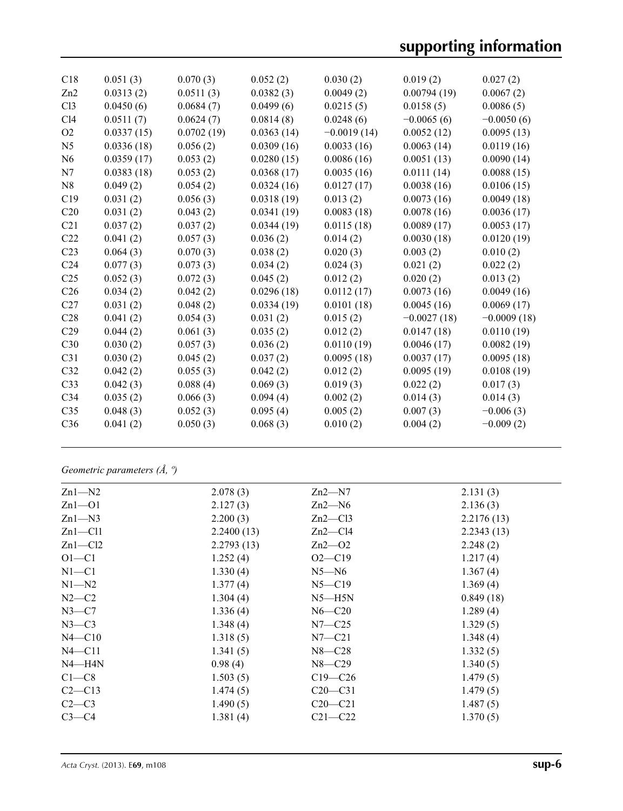| C18             | 0.051(3)   | 0.070(3)   | 0.052(2)   | 0.030(2)      | 0.019(2)      | 0.027(2)      |
|-----------------|------------|------------|------------|---------------|---------------|---------------|
| Zn2             | 0.0313(2)  | 0.0511(3)  | 0.0382(3)  | 0.0049(2)     | 0.00794(19)   | 0.0067(2)     |
| C13             | 0.0450(6)  | 0.0684(7)  | 0.0499(6)  | 0.0215(5)     | 0.0158(5)     | 0.0086(5)     |
| C14             | 0.0511(7)  | 0.0624(7)  | 0.0814(8)  | 0.0248(6)     | $-0.0065(6)$  | $-0.0050(6)$  |
| O2              | 0.0337(15) | 0.0702(19) | 0.0363(14) | $-0.0019(14)$ | 0.0052(12)    | 0.0095(13)    |
| N <sub>5</sub>  | 0.0336(18) | 0.056(2)   | 0.0309(16) | 0.0033(16)    | 0.0063(14)    | 0.0119(16)    |
| N <sub>6</sub>  | 0.0359(17) | 0.053(2)   | 0.0280(15) | 0.0086(16)    | 0.0051(13)    | 0.0090(14)    |
| N7              | 0.0383(18) | 0.053(2)   | 0.0368(17) | 0.0035(16)    | 0.0111(14)    | 0.0088(15)    |
| N8              | 0.049(2)   | 0.054(2)   | 0.0324(16) | 0.0127(17)    | 0.0038(16)    | 0.0106(15)    |
| C19             | 0.031(2)   | 0.056(3)   | 0.0318(19) | 0.013(2)      | 0.0073(16)    | 0.0049(18)    |
| C <sub>20</sub> | 0.031(2)   | 0.043(2)   | 0.0341(19) | 0.0083(18)    | 0.0078(16)    | 0.0036(17)    |
| C21             | 0.037(2)   | 0.037(2)   | 0.0344(19) | 0.0115(18)    | 0.0089(17)    | 0.0053(17)    |
| C22             | 0.041(2)   | 0.057(3)   | 0.036(2)   | 0.014(2)      | 0.0030(18)    | 0.0120(19)    |
| C <sub>23</sub> | 0.064(3)   | 0.070(3)   | 0.038(2)   | 0.020(3)      | 0.003(2)      | 0.010(2)      |
| C <sub>24</sub> | 0.077(3)   | 0.073(3)   | 0.034(2)   | 0.024(3)      | 0.021(2)      | 0.022(2)      |
| C <sub>25</sub> | 0.052(3)   | 0.072(3)   | 0.045(2)   | 0.012(2)      | 0.020(2)      | 0.013(2)      |
| C <sub>26</sub> | 0.034(2)   | 0.042(2)   | 0.0296(18) | 0.0112(17)    | 0.0073(16)    | 0.0049(16)    |
| C27             | 0.031(2)   | 0.048(2)   | 0.0334(19) | 0.0101(18)    | 0.0045(16)    | 0.0069(17)    |
| C28             | 0.041(2)   | 0.054(3)   | 0.031(2)   | 0.015(2)      | $-0.0027(18)$ | $-0.0009(18)$ |
| C29             | 0.044(2)   | 0.061(3)   | 0.035(2)   | 0.012(2)      | 0.0147(18)    | 0.0110(19)    |
| C30             | 0.030(2)   | 0.057(3)   | 0.036(2)   | 0.0110(19)    | 0.0046(17)    | 0.0082(19)    |
| C <sub>31</sub> | 0.030(2)   | 0.045(2)   | 0.037(2)   | 0.0095(18)    | 0.0037(17)    | 0.0095(18)    |
| C32             | 0.042(2)   | 0.055(3)   | 0.042(2)   | 0.012(2)      | 0.0095(19)    | 0.0108(19)    |
| C <sub>33</sub> | 0.042(3)   | 0.088(4)   | 0.069(3)   | 0.019(3)      | 0.022(2)      | 0.017(3)      |
| C <sub>34</sub> | 0.035(2)   | 0.066(3)   | 0.094(4)   | 0.002(2)      | 0.014(3)      | 0.014(3)      |
| C <sub>35</sub> | 0.048(3)   | 0.052(3)   | 0.095(4)   | 0.005(2)      | 0.007(3)      | $-0.006(3)$   |
| C36             | 0.041(2)   | 0.050(3)   | 0.068(3)   | 0.010(2)      | 0.004(2)      | $-0.009(2)$   |
|                 |            |            |            |               |               |               |

# *Geometric parameters (Å, º)*

| 2.078(3)   | $Zn2-M7$    | 2.131(3)   |
|------------|-------------|------------|
| 2.127(3)   | $Zn2-M6$    | 2.136(3)   |
| 2.200(3)   | $Zn2$ —Cl3  | 2.2176(13) |
| 2.2400(13) | $Zn2-Cl4$   | 2.2343(13) |
| 2.2793(13) | $Zn2$ —O2   | 2.248(2)   |
| 1.252(4)   | $O2 - C19$  | 1.217(4)   |
| 1.330(4)   | $N5 - N6$   | 1.367(4)   |
| 1.377(4)   | $N5 - C19$  | 1.369(4)   |
| 1.304(4)   | $N5 - H5N$  | 0.849(18)  |
| 1.336(4)   | $N6 - C20$  | 1.289(4)   |
| 1.348(4)   | $N7 - C25$  | 1.329(5)   |
| 1.318(5)   | $N7 - C21$  | 1.348(4)   |
| 1.341(5)   | $N8 - C28$  | 1.332(5)   |
| 0.98(4)    | $N8 - C29$  | 1.340(5)   |
| 1.503(5)   | $C19 - C26$ | 1.479(5)   |
| 1.474(5)   | $C20 - C31$ | 1.479(5)   |
| 1.490(5)   | $C20-C21$   | 1.487(5)   |
| 1.381(4)   | $C21 - C22$ | 1.370(5)   |
|            |             |            |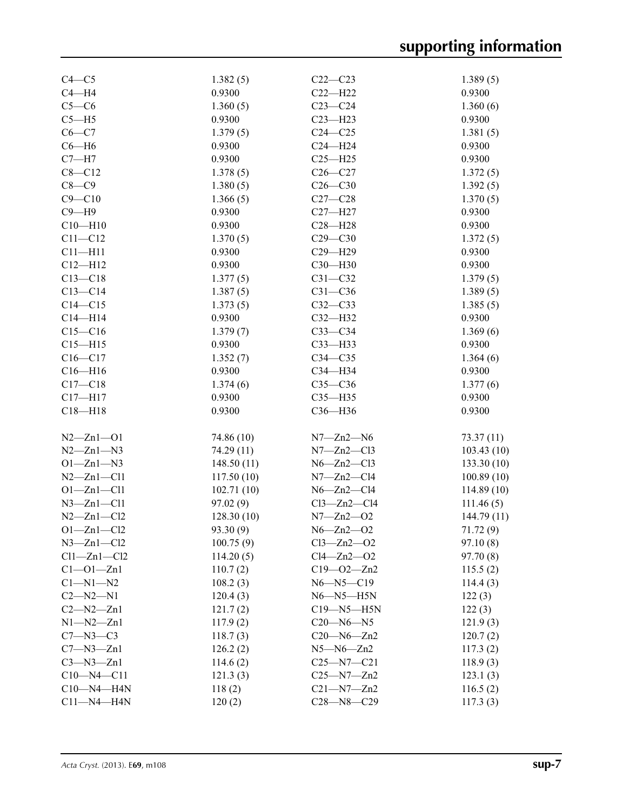| $C4 - C5$         | 1.382(5)    | $C22-C23$         | 1.389(5)    |
|-------------------|-------------|-------------------|-------------|
| $C4 - H4$         | 0.9300      | $C22-H22$         | 0.9300      |
| $C5-C6$           | 1.360(5)    | $C23-C24$         | 1.360(6)    |
| $C5 - H5$         | 0.9300      | $C23 - H23$       | 0.9300      |
| $C6 - C7$         | 1.379(5)    | $C24 - C25$       | 1.381(5)    |
| $C6 - H6$         | 0.9300      | $C24 - H24$       | 0.9300      |
| $C7 - H7$         | 0.9300      | $C25 - H25$       | 0.9300      |
| $C8 - C12$        | 1.378(5)    | $C26 - C27$       | 1.372(5)    |
| $C8-C9$           | 1.380(5)    | $C26 - C30$       | 1.392(5)    |
| $C9 - C10$        | 1.366(5)    | $C27-C28$         | 1.370(5)    |
| $C9 - H9$         | 0.9300      | $C27 - H27$       | 0.9300      |
| $C10 - H10$       | 0.9300      | $C28 - H28$       | 0.9300      |
| $C11 - C12$       | 1.370(5)    | $C29 - C30$       | 1.372(5)    |
| $C11 - H11$       | 0.9300      | $C29 - H29$       | 0.9300      |
| $C12 - H12$       | 0.9300      | $C30 - H30$       | 0.9300      |
| $C13 - C18$       | 1.377(5)    | $C31 - C32$       | 1.379(5)    |
| $C13-C14$         | 1.387(5)    | $C31 - C36$       | 1.389(5)    |
|                   |             |                   |             |
| $C14 - C15$       | 1.373(5)    | $C32-C33$         | 1.385(5)    |
| $C14 - H14$       | 0.9300      | $C32 - H32$       | 0.9300      |
| $C15 - C16$       | 1.379(7)    | $C33-C34$         | 1.369(6)    |
| $C15 - H15$       | 0.9300      | $C33 - H33$       | 0.9300      |
| $C16 - C17$       | 1.352(7)    | $C34 - C35$       | 1.364(6)    |
| $C16 - H16$       | 0.9300      | C34-H34           | 0.9300      |
| $C17 - C18$       | 1.374(6)    | $C35-C36$         | 1.377(6)    |
| $C17 - H17$       | 0.9300      | $C35 - H35$       | 0.9300      |
| $C18 - H18$       | 0.9300      | $C36 - H36$       | 0.9300      |
| $N2 - Zn1 - O1$   | 74.86 (10)  | $N7 - Zn2 - N6$   | 73.37(11)   |
| $N2 - Zn1 - N3$   | 74.29 (11)  | $N7 - Zn2 - C13$  | 103.43(10)  |
| $O1 - Zn1 - N3$   | 148.50 (11) | $N6 - Zn2 - C13$  | 133.30(10)  |
| $N2 - Zn1 - C11$  | 117.50(10)  | $N7 - Zn2 - C14$  | 100.89(10)  |
| $O1 - Zn1 - Cl1$  | 102.71(10)  | $N6 - Zn2 - C14$  | 114.89 (10) |
| $N3 - Zn1 - C11$  | 97.02(9)    | $Cl3 - Zn2 - Cl4$ | 111.46(5)   |
| $N2 - Zn1 - Cl2$  | 128.30(10)  | $N7 - Zn2 - O2$   | 144.79 (11) |
| $O1 - Zn1 - Cl2$  | 93.30 (9)   | $N6 - Zn2 - O2$   | 71.72(9)    |
| $N3 - Zn1 - C12$  | 100.75(9)   | $Cl3 - Zn2 - O2$  | 97.10(8)    |
| $Cl1 - Zn1 - Cl2$ | 114.20(5)   | $Cl4 - Zn2 - O2$  | 97.70 (8)   |
| $Cl - O1 - Zn1$   | 110.7(2)    | $C19 - 02 - Zn2$  | 115.5(2)    |
| $C1 - N1 - N2$    | 108.2(3)    | $N6 - N5 - C19$   | 114.4(3)    |
| $C2 - N2 - N1$    | 120.4(3)    | $N6 - N5 - H5N$   | 122(3)      |
| $C2 - N2 - Zn1$   |             | $C19 - N5 - H5N$  |             |
|                   | 121.7(2)    |                   | 122(3)      |
| $N1 - N2 - Zn1$   | 117.9(2)    | $C20 - N6 - N5$   | 121.9(3)    |
| $C7 - N3 - C3$    | 118.7(3)    | $C20 - N6 - Zn2$  | 120.7(2)    |
| $C7 - N3 - Zn1$   | 126.2(2)    | $N5 - N6 - Zn2$   | 117.3(2)    |
| $C3 - N3 - Zn1$   | 114.6(2)    | $C25 - N7 - C21$  | 118.9(3)    |
| $C10 - N4 - C11$  | 121.3(3)    | $C25 - N7 - Zn2$  | 123.1(3)    |
| $C10 - N4 - H4N$  | 118(2)      | $C21 - N7 - Zn2$  | 116.5(2)    |
| $C11 - N4 - H4N$  | 120(2)      | $C28 - N8 - C29$  | 117.3(3)    |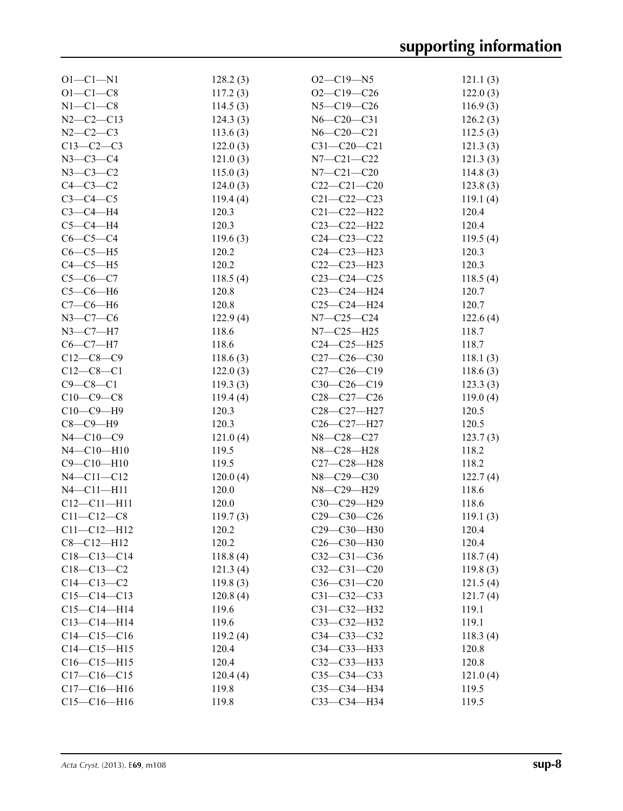| $O1 - C1 - N1$    | 128.2(3) | $O2 - C19 - N5$   | 121.1(3) |
|-------------------|----------|-------------------|----------|
| $O1 - C1 - C8$    | 117.2(3) | $O2-C19-C26$      | 122.0(3) |
| $N1-C1-C8$        | 114.5(3) | $N5 - C19 - C26$  | 116.9(3) |
| $N2-C2-C13$       | 124.3(3) | $N6 - C20 - C31$  | 126.2(3) |
| $N2 - C2 - C3$    | 113.6(3) | $N6 - C20 - C21$  | 112.5(3) |
| $C13-C2-C3$       | 122.0(3) | $C31 - C20 - C21$ | 121.3(3) |
| $N3 - C3 - C4$    | 121.0(3) | $N7 - C21 - C22$  | 121.3(3) |
| $N3 - C3 - C2$    | 115.0(3) | $N7 - C21 - C20$  | 114.8(3) |
| $C4-C3-C2$        | 124.0(3) | $C22-C21-C20$     | 123.8(3) |
| $C3-C4-C5$        | 119.4(4) | $C21 - C22 - C23$ | 119.1(4) |
| $C3-C4-H4$        | 120.3    | $C21 - C22 - H22$ | 120.4    |
| $C5-C4-H4$        | 120.3    | $C23 - C22 - H22$ | 120.4    |
| $C6-C5-C4$        | 119.6(3) | $C24 - C23 - C22$ | 119.5(4) |
| $C6-C5-H5$        | 120.2    | $C24 - C23 - H23$ | 120.3    |
|                   | 120.2    |                   |          |
| $C4-C5-H5$        |          | $C22-C23-H23$     | 120.3    |
| $C5 - C6 - C7$    | 118.5(4) | $C23-C24-C25$     | 118.5(4) |
| $C5-C6-H6$        | 120.8    | C23-C24-H24       | 120.7    |
| $C7-C6-H6$        | 120.8    | $C25-C24-H24$     | 120.7    |
| $N3 - C7 - C6$    | 122.9(4) | $N7 - C25 - C24$  | 122.6(4) |
| $N3 - C7 - H7$    | 118.6    | $N7 - C25 - H25$  | 118.7    |
| $C6 - C7 - H7$    | 118.6    | $C24 - C25 - H25$ | 118.7    |
| $C12-C8-C9$       | 118.6(3) | $C27-C26-C30$     | 118.1(3) |
| $C12-C8-C1$       | 122.0(3) | $C27-C26-C19$     | 118.6(3) |
| $C9 - C8 - C1$    | 119.3(3) | $C30-C26-C19$     | 123.3(3) |
| $C10-C9-C8$       | 119.4(4) | $C28-C27-C26$     | 119.0(4) |
| $C10-C9-H9$       | 120.3    | C28-C27-H27       | 120.5    |
| $C8-C9-H9$        | 120.3    | C26-C27-H27       | 120.5    |
| $N4 - C10 - C9$   | 121.0(4) | N8-C28-C27        | 123.7(3) |
| $N4 - C10 - H10$  | 119.5    | N8-C28-H28        | 118.2    |
| $C9 - C10 - H10$  | 119.5    | C27-C28-H28       | 118.2    |
| $N4 - C11 - C12$  | 120.0(4) | N8-C29-C30        | 122.7(4) |
| $N4 - C11 - H11$  | 120.0    | N8-C29-H29        | 118.6    |
| $C12 - C11 - H11$ | 120.0    | C30-C29-H29       | 118.6    |
| $C11 - C12 - C8$  | 119.7(3) | $C29 - C30 - C26$ | 119.1(3) |
| $C11 - C12 - H12$ | 120.2    | C29-C30-H30       | 120.4    |
| $C8-C12-H12$      | 120.2    | $C26-C30-H30$     | 120.4    |
| $C18-C13-C14$     | 118.8(4) | $C32 - C31 - C36$ | 118.7(4) |
| $C18 - C13 - C2$  | 121.3(4) | $C32 - C31 - C20$ | 119.8(3) |
| $C14 - C13 - C2$  | 119.8(3) | $C36 - C31 - C20$ | 121.5(4) |
| $C15-C14-C13$     | 120.8(4) | $C31 - C32 - C33$ | 121.7(4) |
| $C15-C14-H14$     | 119.6    | $C31 - C32 - H32$ | 119.1    |
| $C13 - C14 - H14$ | 119.6    | C33-C32-H32       | 119.1    |
| $C14-C15-C16$     | 119.2(4) | $C34 - C33 - C32$ | 118.3(4) |
| $C14-C15-H15$     | 120.4    | C34-C33-H33       | 120.8    |
| $C16-C15-H15$     | 120.4    | C32-C33-H33       | 120.8    |
| $C17-C16-C15$     | 120.4(4) | $C35 - C34 - C33$ | 121.0(4) |
| $C17 - C16 - H16$ | 119.8    | C35-C34-H34       | 119.5    |
| $C15-C16-H16$     |          | C33-C34-H34       | 119.5    |
|                   | 119.8    |                   |          |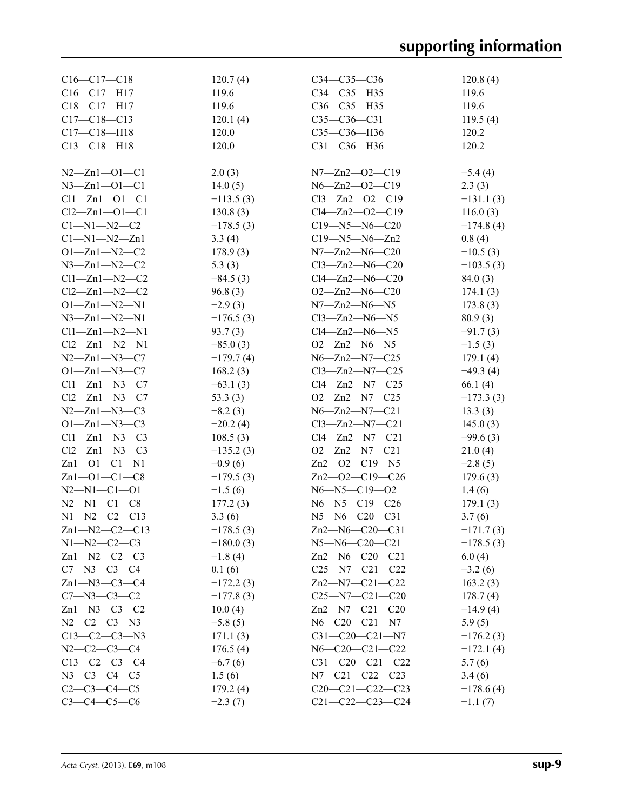| $C16-C17-C18$               | 120.7(4)    | $C34 - C35 - C36$            | 120.8(4)           |
|-----------------------------|-------------|------------------------------|--------------------|
| $C16-C17-H17$               | 119.6       | C34-C35-H35                  | 119.6              |
| $C18 - C17 - H17$           | 119.6       | $C36 - C35 - H35$            | 119.6              |
| $C17 - C18 - C13$           | 120.1(4)    | $C35-C36-C31$                | 119.5(4)           |
| $C17 - C18 - H18$           | 120.0       | C35-C36-H36                  | 120.2              |
| $C13 - C18 - H18$           | 120.0       | C31-C36-H36                  | 120.2              |
|                             |             |                              |                    |
| $N2 - Zn1 - O1 - C1$        | 2.0(3)      | $N7 - Zn2 - 02 - C19$        | $-5.4(4)$          |
| $N3 - Zn1 - O1 - C1$        | 14.0(5)     | $N6 - Zn2 - 02 - C19$        | 2.3(3)             |
| $Cl1 - Zn1 - O1 - Cl$       | $-113.5(3)$ | $Cl3 - Zn2 - O2 - C19$       | $-131.1(3)$        |
| $Cl2 - Zn1 - O1 - Cl$       | 130.8(3)    | $Cl4 - Zn2 - O2 - Cl9$       | 116.0(3)           |
| $C1 - N1 - N2 - C2$         | $-178.5(3)$ | $C19 - N5 - N6 - C20$        | $-174.8(4)$        |
| $C1 - N1 - N2 - Zn1$        | 3.3(4)      | $C19 - N5 - N6 - Zn2$        | 0.8(4)             |
| $O1 - Zn1 - N2 - C2$        | 178.9(3)    | $N7 - Zn2 - N6 - C20$        | $-10.5(3)$         |
| $N3 - Zn1 - N2 - C2$        | 5.3(3)      | $Cl3 - Zn2 - N6 - C20$       | $-103.5(3)$        |
| $Cl1 - Zn1 - N2 - C2$       | $-84.5(3)$  | $Cl4 - Zn2 - N6 - C20$       | 84.0(3)            |
| $Cl2 - Zn1 - N2 - C2$       | 96.8(3)     | $O2 - Zn2 - N6 - C20$        | 174.1(3)           |
| $O1 - Zn1 - N2 - N1$        | $-2.9(3)$   | $N7 - Zn2 - N6 - N5$         | 173.8(3)           |
| $N3 - Zn1 - N2 - N1$        | $-176.5(3)$ | $Cl3 - Zn2 - N6 - N5$        | 80.9(3)            |
| $Cl1 - Zn1 - N2 - N1$       | 93.7(3)     | $Cl4 - Zn2 - N6 - N5$        | $-91.7(3)$         |
| $Cl2 - Zn1 - N2 - N1$       | $-85.0(3)$  | $O2 - Zn2 - N6 - N5$         | $-1.5(3)$          |
| $N2 - Zn1 - N3 - C7$        | $-179.7(4)$ | $N6 - Zn2 - N7 - C25$        | 179.1(4)           |
| $O1 - Zn1 - N3 - C7$        | 168.2(3)    | $Cl3 - Zn2 - N7 - C25$       | $-49.3(4)$         |
| $Cl1 - Zn1 - N3 - C7$       | $-63.1(3)$  | $Cl4 - Zn2 - N7 - C25$       | 66.1(4)            |
| $Cl2 - Zn1 - N3 - C7$       | 53.3 $(3)$  | $O2 - Zn2 - N7 - C25$        | $-173.3(3)$        |
| $N2 - Zn1 - N3 - C3$        | $-8.2(3)$   | $N6 - Zn2 - N7 - C21$        | 13.3(3)            |
| $O1 - Zn1 - N3 - C3$        | $-20.2(4)$  | $Cl3 - Zn2 - N7 - C21$       | 145.0(3)           |
| $Cl1 - Zn1 - N3 - C3$       | 108.5(3)    | $Cl4 - Zn2 - N7 - C21$       | $-99.6(3)$         |
| $Cl2$ — $Zn1$ — $N3$ — $C3$ | $-135.2(3)$ | $O2 - Zn2 - N7 - C21$        | 21.0(4)            |
| $Zn1 - O1 - Cl - N1$        | $-0.9(6)$   | $Zn2$ - $O2$ - $C19$ - $N5$  | $-2.8(5)$          |
| $Zn1 - 01 - C1 - C8$        | $-179.5(3)$ | Zn2-O2-C19-C26               | 179.6(3)           |
| $N2 - N1 - C1 - 01$         | $-1.5(6)$   | $N6 - N5 - C19 - O2$         |                    |
| $N2 - N1 - C1 - C8$         | 177.2(3)    | N6-N5-C19-C26                | 1.4(6)<br>179.1(3) |
| $N1 - N2 - C2 - C13$        | 3.3(6)      | N5-N6-C20-C31                | 3.7(6)             |
| $Zn1 - N2 - C2 - C13$       | $-178.5(3)$ | Zn2-N6-C20-C31               | $-171.7(3)$        |
| $N1 - N2 - C2 - C3$         | $-180.0(3)$ | $N5 - N6 - C20 - C21$        | $-178.5(3)$        |
| $Zn1-M2-C2-C3$              | $-1.8(4)$   | $Zn2$ —N6—C20—C21            | 6.0(4)             |
| $C7 - N3 - C3 - C4$         | 0.1(6)      | $C25 - N7 - C21 - C22$       | $-3.2(6)$          |
| $Zn1 - N3 - C3 - C4$        | $-172.2(3)$ | $Zn2$ - $N7$ - $C21$ - $C22$ | 163.2(3)           |
| $C7 - N3 - C3 - C2$         | $-177.8(3)$ | $C25 - N7 - C21 - C20$       | 178.7(4)           |
| $Zn1-M3-C3-C2$              | 10.0(4)     | $Zn2$ —N7—C21—C20            | $-14.9(4)$         |
| $N2-C2-C3-N3$               | $-5.8(5)$   | $N6 - C20 - C21 - N7$        | 5.9(5)             |
| $C13-C2-C3-N3$              | 171.1(3)    | $C31-C20-C21-N7$             | $-176.2(3)$        |
| $N2-C2-C3-C4$               | 176.5(4)    | $N6 - C20 - C21 - C22$       | $-172.1(4)$        |
| $C13-C2-C3-C4$              | $-6.7(6)$   | $C31-C20-C21-C22$            | 5.7(6)             |
| $N3 - C3 - C4 - C5$         | 1.5(6)      | $N7 - C21 - C22 - C23$       | 3.4(6)             |
| $C2-C3-C4-C5$               | 179.2(4)    | $C20-C21-C22-C23$            | $-178.6(4)$        |
| $C3 - C4 - C5 - C6$         | $-2.3(7)$   | $C21 - C22 - C23 - C24$      | $-1.1(7)$          |
|                             |             |                              |                    |